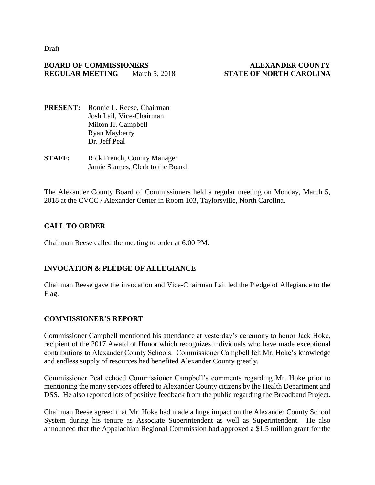Draft

#### **BOARD OF COMMISSIONERS ALEXANDER COUNTY REGULAR MEETING** March 5, 2018 **STATE OF NORTH CAROLINA**

- **PRESENT:** Ronnie L. Reese, Chairman Josh Lail, Vice-Chairman Milton H. Campbell Ryan Mayberry Dr. Jeff Peal
- **STAFF:** Rick French, County Manager Jamie Starnes, Clerk to the Board

The Alexander County Board of Commissioners held a regular meeting on Monday, March 5, 2018 at the CVCC / Alexander Center in Room 103, Taylorsville, North Carolina.

# **CALL TO ORDER**

Chairman Reese called the meeting to order at 6:00 PM.

# **INVOCATION & PLEDGE OF ALLEGIANCE**

Chairman Reese gave the invocation and Vice-Chairman Lail led the Pledge of Allegiance to the Flag.

# **COMMISSIONER'S REPORT**

Commissioner Campbell mentioned his attendance at yesterday's ceremony to honor Jack Hoke, recipient of the 2017 Award of Honor which recognizes individuals who have made exceptional contributions to Alexander County Schools. Commissioner Campbell felt Mr. Hoke's knowledge and endless supply of resources had benefited Alexander County greatly.

Commissioner Peal echoed Commissioner Campbell's comments regarding Mr. Hoke prior to mentioning the many services offered to Alexander County citizens by the Health Department and DSS. He also reported lots of positive feedback from the public regarding the Broadband Project.

Chairman Reese agreed that Mr. Hoke had made a huge impact on the Alexander County School System during his tenure as Associate Superintendent as well as Superintendent. He also announced that the Appalachian Regional Commission had approved a \$1.5 million grant for the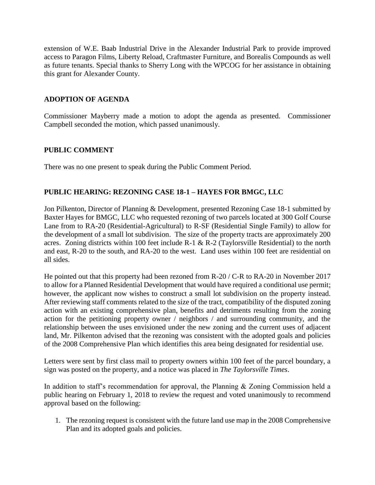extension of W.E. Baab Industrial Drive in the Alexander Industrial Park to provide improved access to Paragon Films, Liberty Reload, Craftmaster Furniture, and Borealis Compounds as well as future tenants. Special thanks to Sherry Long with the WPCOG for her assistance in obtaining this grant for Alexander County.

#### **ADOPTION OF AGENDA**

Commissioner Mayberry made a motion to adopt the agenda as presented. Commissioner Campbell seconded the motion, which passed unanimously.

#### **PUBLIC COMMENT**

There was no one present to speak during the Public Comment Period.

#### **PUBLIC HEARING: REZONING CASE 18-1 – HAYES FOR BMGC, LLC**

Jon Pilkenton, Director of Planning & Development, presented Rezoning Case 18-1 submitted by Baxter Hayes for BMGC, LLC who requested rezoning of two parcels located at 300 Golf Course Lane from to RA-20 (Residential-Agricultural) to R-SF (Residential Single Family) to allow for the development of a small lot subdivision. The size of the property tracts are approximately 200 acres. Zoning districts within 100 feet include R-1 & R-2 (Taylorsville Residential) to the north and east, R-20 to the south, and RA-20 to the west. Land uses within 100 feet are residential on all sides.

He pointed out that this property had been rezoned from R-20 / C-R to RA-20 in November 2017 to allow for a Planned Residential Development that would have required a conditional use permit; however, the applicant now wishes to construct a small lot subdivision on the property instead. After reviewing staff comments related to the size of the tract, compatibility of the disputed zoning action with an existing comprehensive plan, benefits and detriments resulting from the zoning action for the petitioning property owner / neighbors / and surrounding community, and the relationship between the uses envisioned under the new zoning and the current uses of adjacent land, Mr. Pilkenton advised that the rezoning was consistent with the adopted goals and policies of the 2008 Comprehensive Plan which identifies this area being designated for residential use.

Letters were sent by first class mail to property owners within 100 feet of the parcel boundary, a sign was posted on the property, and a notice was placed in *The Taylorsville Times*.

In addition to staff's recommendation for approval, the Planning & Zoning Commission held a public hearing on February 1, 2018 to review the request and voted unanimously to recommend approval based on the following:

1. The rezoning request is consistent with the future land use map in the 2008 Comprehensive Plan and its adopted goals and policies.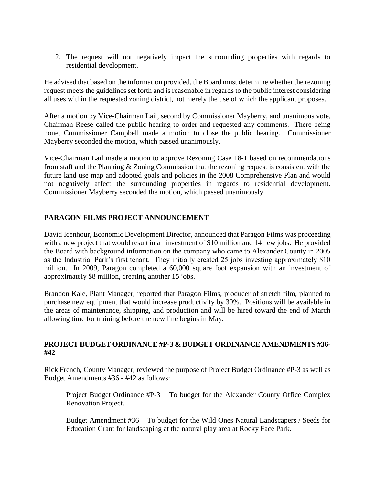2. The request will not negatively impact the surrounding properties with regards to residential development.

He advised that based on the information provided, the Board must determine whether the rezoning request meets the guidelines set forth and is reasonable in regards to the public interest considering all uses within the requested zoning district, not merely the use of which the applicant proposes.

After a motion by Vice-Chairman Lail, second by Commissioner Mayberry, and unanimous vote, Chairman Reese called the public hearing to order and requested any comments. There being none, Commissioner Campbell made a motion to close the public hearing. Commissioner Mayberry seconded the motion, which passed unanimously.

Vice-Chairman Lail made a motion to approve Rezoning Case 18-1 based on recommendations from staff and the Planning & Zoning Commission that the rezoning request is consistent with the future land use map and adopted goals and policies in the 2008 Comprehensive Plan and would not negatively affect the surrounding properties in regards to residential development. Commissioner Mayberry seconded the motion, which passed unanimously.

# **PARAGON FILMS PROJECT ANNOUNCEMENT**

David Icenhour, Economic Development Director, announced that Paragon Films was proceeding with a new project that would result in an investment of \$10 million and 14 new jobs. He provided the Board with background information on the company who came to Alexander County in 2005 as the Industrial Park's first tenant. They initially created 25 jobs investing approximately \$10 million. In 2009, Paragon completed a 60,000 square foot expansion with an investment of approximately \$8 million, creating another 15 jobs.

Brandon Kale, Plant Manager, reported that Paragon Films, producer of stretch film, planned to purchase new equipment that would increase productivity by 30%. Positions will be available in the areas of maintenance, shipping, and production and will be hired toward the end of March allowing time for training before the new line begins in May.

#### **PROJECT BUDGET ORDINANCE #P-3 & BUDGET ORDINANCE AMENDMENTS #36- #42**

Rick French, County Manager, reviewed the purpose of Project Budget Ordinance #P-3 as well as Budget Amendments #36 - #42 as follows:

Project Budget Ordinance #P-3 – To budget for the Alexander County Office Complex Renovation Project.

Budget Amendment #36 – To budget for the Wild Ones Natural Landscapers / Seeds for Education Grant for landscaping at the natural play area at Rocky Face Park.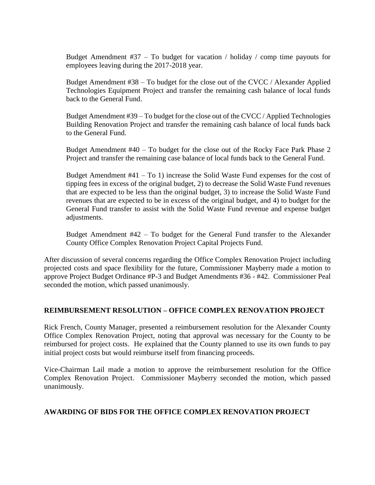Budget Amendment  $#37 - To budget for vacation / holiday / comp time payouts for$ employees leaving during the 2017-2018 year.

Budget Amendment #38 – To budget for the close out of the CVCC / Alexander Applied Technologies Equipment Project and transfer the remaining cash balance of local funds back to the General Fund.

Budget Amendment #39 – To budget for the close out of the CVCC / Applied Technologies Building Renovation Project and transfer the remaining cash balance of local funds back to the General Fund.

Budget Amendment #40 – To budget for the close out of the Rocky Face Park Phase 2 Project and transfer the remaining case balance of local funds back to the General Fund.

Budget Amendment  $#41 - To 1$ ) increase the Solid Waste Fund expenses for the cost of tipping fees in excess of the original budget, 2) to decrease the Solid Waste Fund revenues that are expected to be less than the original budget, 3) to increase the Solid Waste Fund revenues that are expected to be in excess of the original budget, and 4) to budget for the General Fund transfer to assist with the Solid Waste Fund revenue and expense budget adjustments.

Budget Amendment #42 – To budget for the General Fund transfer to the Alexander County Office Complex Renovation Project Capital Projects Fund.

After discussion of several concerns regarding the Office Complex Renovation Project including projected costs and space flexibility for the future, Commissioner Mayberry made a motion to approve Project Budget Ordinance #P-3 and Budget Amendments #36 - #42. Commissioner Peal seconded the motion, which passed unanimously.

# **REIMBURSEMENT RESOLUTION – OFFICE COMPLEX RENOVATION PROJECT**

Rick French, County Manager, presented a reimbursement resolution for the Alexander County Office Complex Renovation Project, noting that approval was necessary for the County to be reimbursed for project costs. He explained that the County planned to use its own funds to pay initial project costs but would reimburse itself from financing proceeds.

Vice-Chairman Lail made a motion to approve the reimbursement resolution for the Office Complex Renovation Project. Commissioner Mayberry seconded the motion, which passed unanimously.

#### **AWARDING OF BIDS FOR THE OFFICE COMPLEX RENOVATION PROJECT**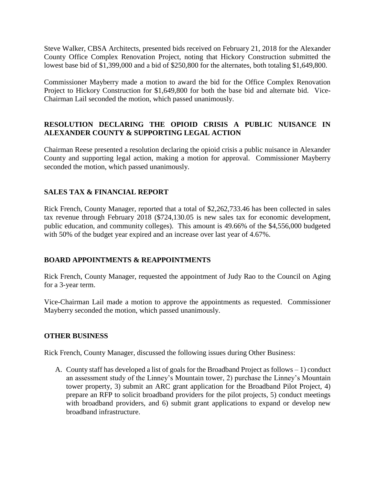Steve Walker, CBSA Architects, presented bids received on February 21, 2018 for the Alexander County Office Complex Renovation Project, noting that Hickory Construction submitted the lowest base bid of \$1,399,000 and a bid of \$250,800 for the alternates, both totaling \$1,649,800.

Commissioner Mayberry made a motion to award the bid for the Office Complex Renovation Project to Hickory Construction for \$1,649,800 for both the base bid and alternate bid. Vice-Chairman Lail seconded the motion, which passed unanimously.

# **RESOLUTION DECLARING THE OPIOID CRISIS A PUBLIC NUISANCE IN ALEXANDER COUNTY & SUPPORTING LEGAL ACTION**

Chairman Reese presented a resolution declaring the opioid crisis a public nuisance in Alexander County and supporting legal action, making a motion for approval. Commissioner Mayberry seconded the motion, which passed unanimously.

# **SALES TAX & FINANCIAL REPORT**

Rick French, County Manager, reported that a total of \$2,262,733.46 has been collected in sales tax revenue through February 2018 (\$724,130.05 is new sales tax for economic development, public education, and community colleges). This amount is 49.66% of the \$4,556,000 budgeted with 50% of the budget year expired and an increase over last year of 4.67%.

# **BOARD APPOINTMENTS & REAPPOINTMENTS**

Rick French, County Manager, requested the appointment of Judy Rao to the Council on Aging for a 3-year term.

Vice-Chairman Lail made a motion to approve the appointments as requested. Commissioner Mayberry seconded the motion, which passed unanimously.

# **OTHER BUSINESS**

Rick French, County Manager, discussed the following issues during Other Business:

A. County staff has developed a list of goals for the Broadband Project as follows – 1) conduct an assessment study of the Linney's Mountain tower, 2) purchase the Linney's Mountain tower property, 3) submit an ARC grant application for the Broadband Pilot Project, 4) prepare an RFP to solicit broadband providers for the pilot projects, 5) conduct meetings with broadband providers, and 6) submit grant applications to expand or develop new broadband infrastructure.